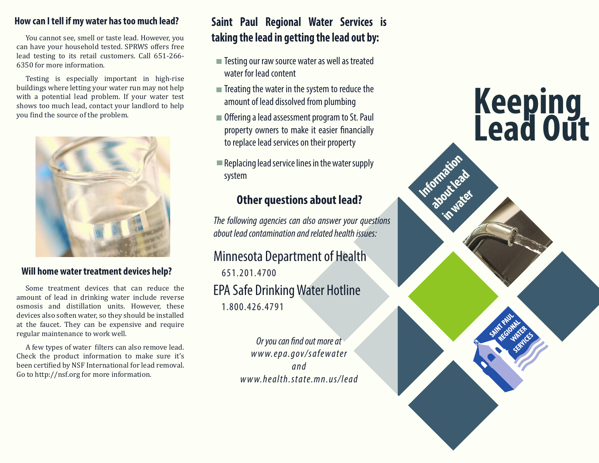## **How can I tell if my water has too much lead?**

You cannot see, smell or taste lead. However, you can have your household tested. SPRWS offers free lead testing to its retail customers. Call 651-266- 6350 for more information.

Testing is especially important in high-rise buildings where letting your water run may not help with a potential lead problem. If your water test shows too much lead, contact your landlord to help you find the source of the problem.



## **Will home water treatment devices help?**

Some treatment devices that can reduce the amount of lead in drinking water include reverse osmosis and distillation units. However, these devices also soften water, so they should be installed at the faucet. They can be expensive and require regular maintenance to work well.

A few types of water filters can also remove lead. Check the product information to make sure it's been certified by NSF International for lead removal. Go to http://nsf.org for more information.

## **Saint Paul Regional Water Services is taking the lead in getting the lead out by:**

- Testing our raw source water as well as treated water for lead content
- $\blacksquare$  Treating the water in the system to reduce the amount of lead dissolved from plumbing
- Offering a lead assessment program to St. Paul property owners to make it easier financially to replace lead services on their property
- $\blacksquare$  Replacing lead service lines in the water supply system

## **Other questions about lead?**

*The following agencies can also answer your questions about lead contamination and related health issues:*

## Minnesota Department of Health

EPA Safe Drinking Water Hotline 651.201.4700

1.800.426.4791

*Or you can find out more at www.epa.gov/safewater and www.health.state.mn.us/lead*

# **Keeping Lead Out**

**Information** 

**about lead** 

**in water**